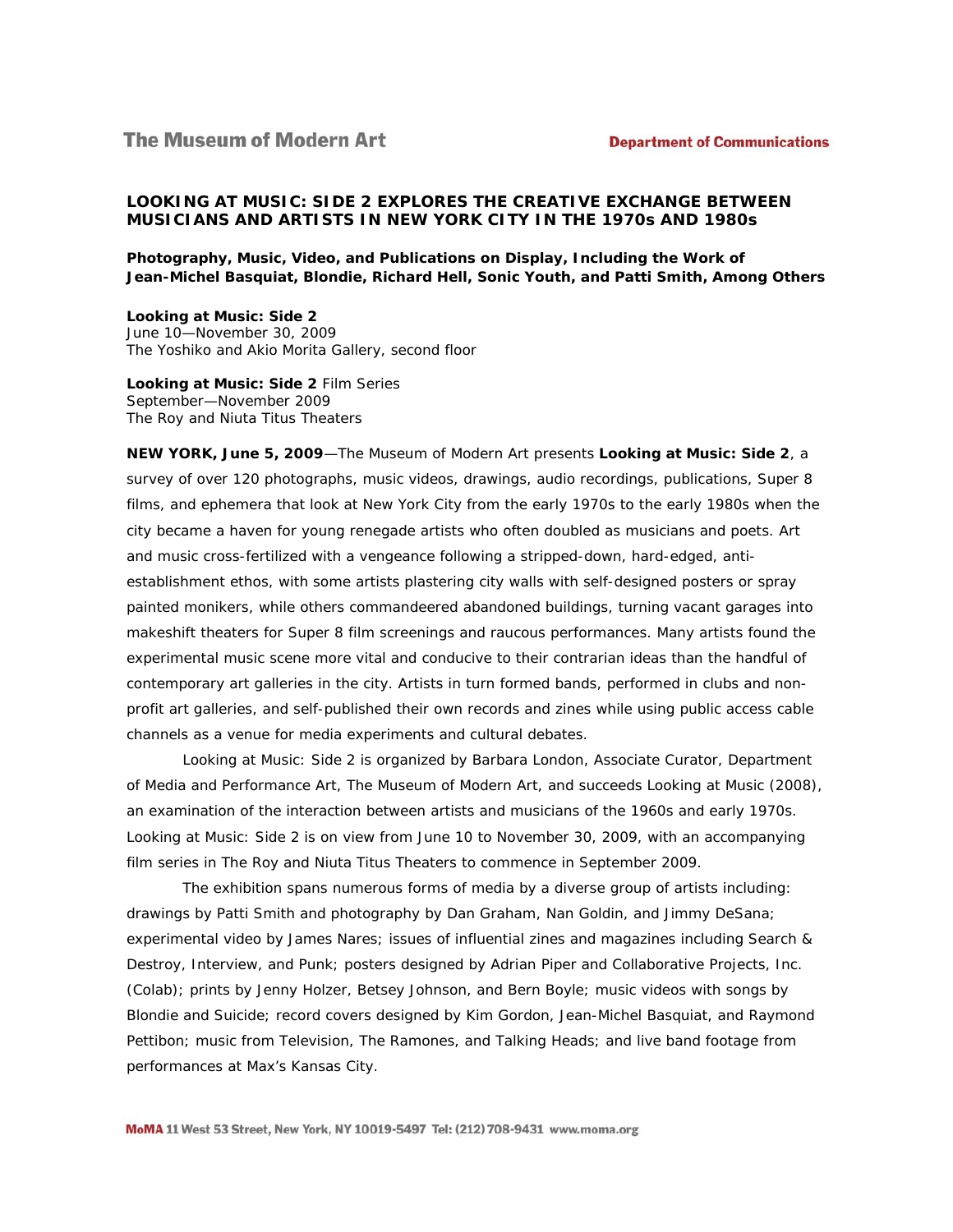# *LOOKING AT MUSIC: SIDE 2* **EXPLORES THE CREATIVE EXCHANGE BETWEEN MUSICIANS AND ARTISTS IN NEW YORK CITY IN THE 1970s AND 1980s**

**Photography, Music, Video, and Publications on Display, Including the Work of Jean-Michel Basquiat, Blondie, Richard Hell, Sonic Youth, and Patti Smith, Among Others** 

*Looking at Music: Side 2*  June 10—November 30, 2009 The Yoshiko and Akio Morita Gallery, second floor

*Looking at Music: Side 2* Film Series September—November 2009 The Roy and Niuta Titus Theaters

**NEW YORK, June 5, 2009**—The Museum of Modern Art presents *Looking at Music: Side 2*, a survey of over 120 photographs, music videos, drawings, audio recordings, publications, Super 8 films, and ephemera that look at New York City from the early 1970s to the early 1980s when the city became a haven for young renegade artists who often doubled as musicians and poets. Art and music cross-fertilized with a vengeance following a stripped-down, hard-edged, antiestablishment ethos, with some artists plastering city walls with self-designed posters or spray painted monikers, while others commandeered abandoned buildings, turning vacant garages into makeshift theaters for Super 8 film screenings and raucous performances. Many artists found the experimental music scene more vital and conducive to their contrarian ideas than the handful of contemporary art galleries in the city. Artists in turn formed bands, performed in clubs and nonprofit art galleries, and self-published their own records and zines while using public access cable channels as a venue for media experiments and cultural debates.

*Looking at Music: Side 2* is organized by Barbara London, Associate Curator, Department of Media and Performance Art, The Museum of Modern Art, and succeeds *Looking at Music* (2008), an examination of the interaction between artists and musicians of the 1960s and early 1970s. *Looking at Music: Side 2* is on view from June 10 to November 30, 2009, with an accompanying film series in The Roy and Niuta Titus Theaters to commence in September 2009.

The exhibition spans numerous forms of media by a diverse group of artists including: drawings by Patti Smith and photography by Dan Graham, Nan Goldin, and Jimmy DeSana; experimental video by James Nares; issues of influential zines and magazines including *Search & Destroy*, *Interview,* and *Punk*; posters designed by Adrian Piper and Collaborative Projects, Inc. (Colab); prints by Jenny Holzer, Betsey Johnson, and Bern Boyle; music videos with songs by Blondie and Suicide; record covers designed by Kim Gordon, Jean-Michel Basquiat, and Raymond Pettibon; music from Television, The Ramones, and Talking Heads; and live band footage from performances at Max's Kansas City.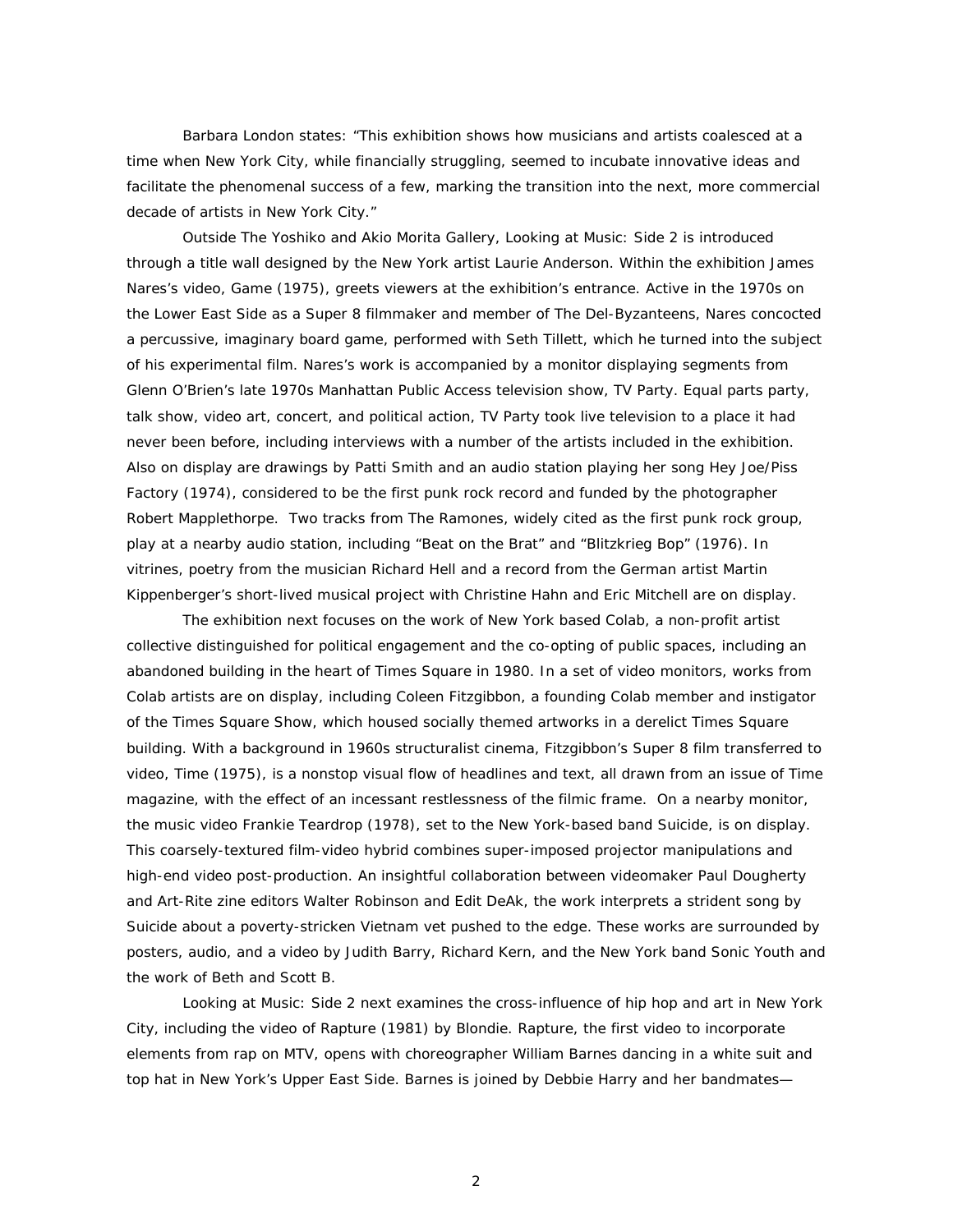Barbara London states: "This exhibition shows how musicians and artists coalesced at a time when New York City, while financially struggling, seemed to incubate innovative ideas and facilitate the phenomenal success of a few, marking the transition into the next, more commercial decade of artists in New York City."

Outside The Yoshiko and Akio Morita Gallery, *Looking at Music: Side 2* is introduced through a title wall designed by the New York artist Laurie Anderson. Within the exhibition James Nares's video, *Game* (1975), greets viewers at the exhibition's entrance. Active in the 1970s on the Lower East Side as a Super 8 filmmaker and member of The Del-Byzanteens, Nares concocted a percussive, imaginary board game, performed with Seth Tillett, which he turned into the subject of his experimental film. Nares's work is accompanied by a monitor displaying segments from Glenn O'Brien's late 1970s Manhattan Public Access television show, *TV Party.* Equal parts party, talk show, video art, concert, and political action, *TV Party* took live television to a place it had never been before, including interviews with a number of the artists included in the exhibition. Also on display are drawings by Patti Smith and an audio station playing her song *Hey Joe/Piss Factory* (1974), considered to be the first punk rock record and funded by the photographer Robert Mapplethorpe. Two tracks from The Ramones, widely cited as the first punk rock group, play at a nearby audio station, including "Beat on the Brat" and "Blitzkrieg Bop" (1976). In vitrines, poetry from the musician Richard Hell and a record from the German artist Martin Kippenberger's short-lived musical project with Christine Hahn and Eric Mitchell are on display.

 The exhibition next focuses on the work of New York based Colab, a non-profit artist collective distinguished for political engagement and the co-opting of public spaces, including an abandoned building in the heart of Times Square in 1980. In a set of video monitors, works from Colab artists are on display, including Coleen Fitzgibbon, a founding Colab member and instigator of the Times Square Show, which housed socially themed artworks in a derelict Times Square building. With a background in 1960s structuralist cinema, Fitzgibbon's Super 8 film transferred to video, *Time* (1975), is a nonstop visual flow of headlines and text, all drawn from an issue of *Time*  magazine*,* with the effect of an incessant restlessness of the filmic frame. On a nearby monitor, the music video *Frankie Teardrop* (1978), set to the New York-based band Suicide, is on display. This coarsely-textured film-video hybrid combines super-imposed projector manipulations and high-end video post-production. An insightful collaboration between videomaker Paul Dougherty and *Art-Rite* zine editors Walter Robinson and Edit DeAk, the work interprets a strident song by Suicide about a poverty-stricken Vietnam vet pushed to the edge. These works are surrounded by posters, audio, and a video by Judith Barry, Richard Kern, and the New York band Sonic Youth and the work of Beth and Scott B.

*Looking at Music: Side 2* next examines the cross-influence of hip hop and art in New York City, including the video of *Rapture* (1981) by Blondie. *Rapture,* the first video to incorporate elements from rap on MTV, opens with choreographer William Barnes dancing in a white suit and top hat in New York's Upper East Side. Barnes is joined by Debbie Harry and her bandmates—

2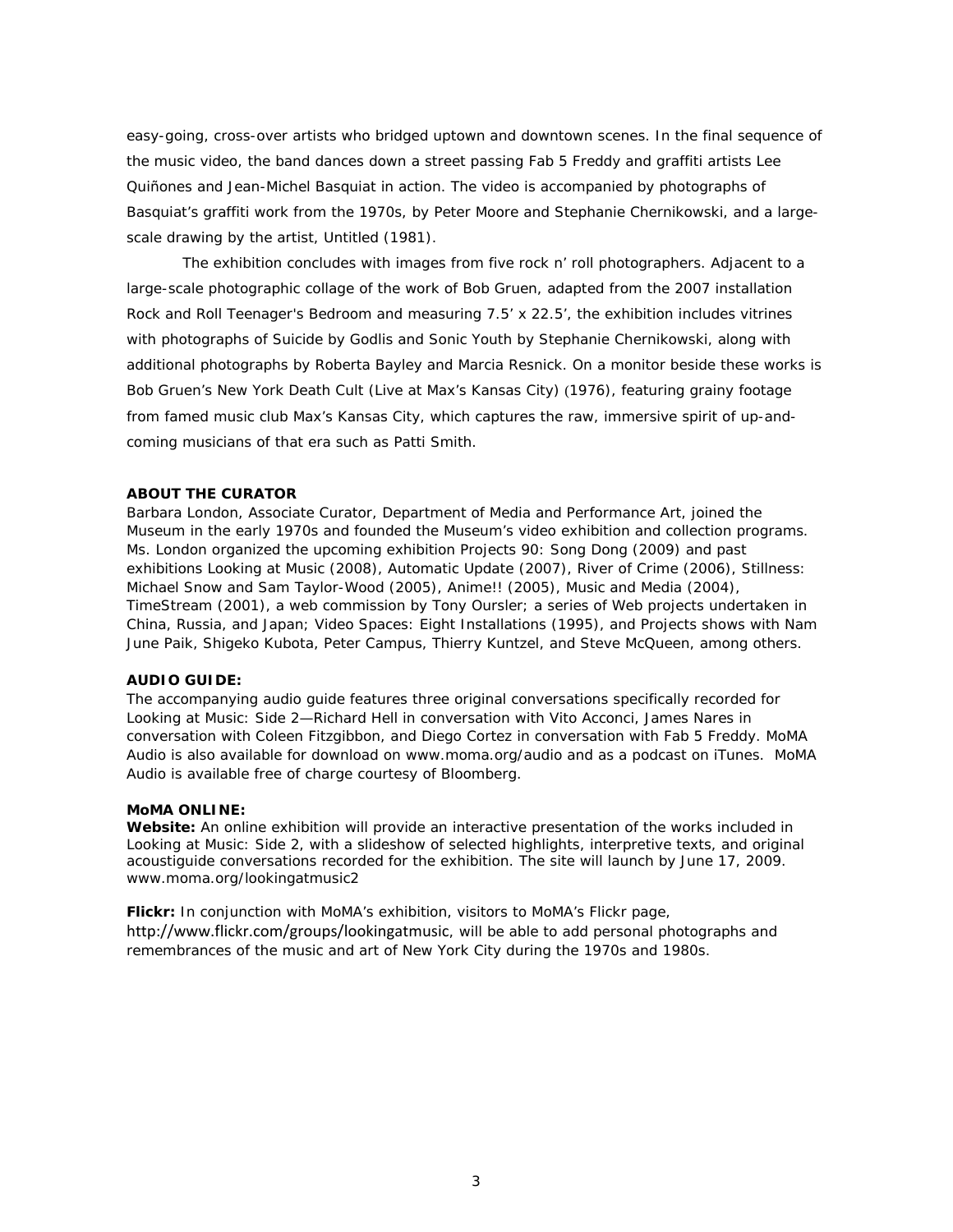easy-going, cross-over artists who bridged uptown and downtown scenes. In the final sequence of the music video, the band dances down a street passing Fab 5 Freddy and graffiti artists Lee Quiñones and Jean-Michel Basquiat in action. The video is accompanied by photographs of Basquiat's graffiti work from the 1970s, by Peter Moore and Stephanie Chernikowski, and a largescale drawing by the artist, *Untitled* (1981).

 The exhibition concludes with images from five rock n' roll photographers. Adjacent to a large-scale photographic collage of the work of Bob Gruen, adapted from the 2007 installation *Rock and Roll Teenager's Bedroom* and measuring 7.5' x 22.5', the exhibition includes vitrines with photographs of Suicide by Godlis and Sonic Youth by Stephanie Chernikowski, along with additional photographs by Roberta Bayley and Marcia Resnick. On a monitor beside these works is Bob Gruen's *New York Death Cult (Live at Max's Kansas City)* (1976), featuring grainy footage from famed music club Max's Kansas City, which captures the raw, immersive spirit of up-andcoming musicians of that era such as Patti Smith.

### **ABOUT THE CURATOR**

Barbara London, Associate Curator, Department of Media and Performance Art, joined the Museum in the early 1970s and founded the Museum's video exhibition and collection programs*.* Ms. London organized the upcoming exhibition *Projects 90: Song Dong* (2009) and past exhibitions *Looking at Music* (2008), *Automatic Update* (2007), *River of Crime* (2006), *Stillness: Michael Snow and Sam Taylor-Wood* (2005), *Anime!!* (2005)*, Music and Media* (2004), *TimeStream* (2001), a web commission by Tony Oursler; a series of Web projects undertaken in China, Russia, and Japan; *Video Spaces: Eight Installations* (1995), and Projects shows with Nam June Paik, Shigeko Kubota, Peter Campus, Thierry Kuntzel, and Steve McQueen, among others*.*

### **AUDIO GUIDE:**

The accompanying audio guide features three original conversations specifically recorded for *Looking at Music: Side 2*—Richard Hell in conversation with Vito Acconci, James Nares in conversation with Coleen Fitzgibbon, and Diego Cortez in conversation with Fab 5 Freddy. MoMA Audio is also available for download on www.moma.org/audio and as a podcast on iTunes. MoMA Audio is available free of charge courtesy of Bloomberg.

#### **MoMA ONLINE:**

**Website:** An online exhibition will provide an interactive presentation of the works included in *Looking at Music: Side 2*, with a slideshow of selected highlights, interpretive texts, and original acoustiguide conversations recorded for the exhibition. The site will launch by June 17, 2009. www.moma.org/lookingatmusic2

**Flickr:** In conjunction with MoMA's exhibition, visitors to MoMA's Flickr page, http://www.flickr.com/groups/lookingatmusic, will be able to add personal photographs and remembrances of the music and art of New York City during the 1970s and 1980s.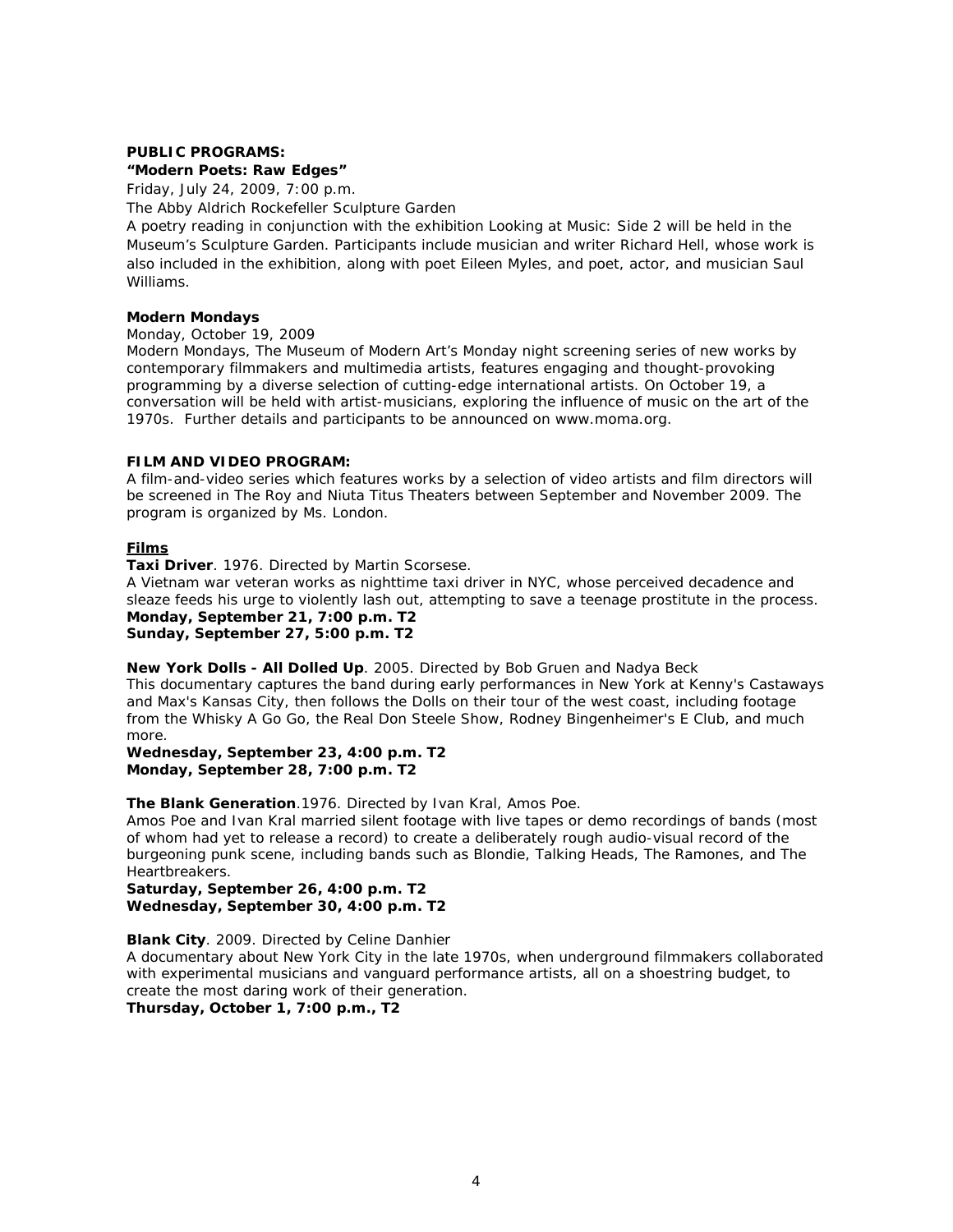## **PUBLIC PROGRAMS:**

**"Modern Poets: Raw Edges"** 

Friday, July 24, 2009, 7:00 p.m.

The Abby Aldrich Rockefeller Sculpture Garden

A poetry reading in conjunction with the exhibition *Looking at Music: Side 2* will be held in the Museum's Sculpture Garden. Participants include musician and writer Richard Hell, whose work is also included in the exhibition, along with poet Eileen Myles, and poet, actor, and musician Saul Williams.

## **Modern Mondays**

Monday, October 19, 2009

*Modern Mondays*, The Museum of Modern Art's Monday night screening series of new works by contemporary filmmakers and multimedia artists, features engaging and thought-provoking programming by a diverse selection of cutting-edge international artists. On October 19, a conversation will be held with artist-musicians, exploring the influence of music on the art of the 1970s. Further details and participants to be announced on www.moma.org.

### **FILM AND VIDEO PROGRAM:**

A film-and-video series which features works by a selection of video artists and film directors will be screened in The Roy and Niuta Titus Theaters between September and November 2009. The program is organized by Ms. London.

# *Films*

**Taxi Driver**. 1976. Directed by Martin Scorsese.

A Vietnam war veteran works as nighttime taxi driver in NYC, whose perceived decadence and sleaze feeds his urge to violently lash out, attempting to save a teenage prostitute in the process. **Monday, September 21, 7:00 p.m. T2 Sunday, September 27, 5:00 p.m. T2** 

**New York Dolls - All Dolled Up**. 2005. Directed by Bob Gruen and Nadya Beck This documentary captures the band during early performances in New York at Kenny's Castaways and Max's Kansas City, then follows the Dolls on their tour of the west coast, including footage from the Whisky A Go Go, the Real Don Steele Show, Rodney Bingenheimer's E Club, and much more.

**Wednesday, September 23, 4:00 p.m. T2 Monday, September 28, 7:00 p.m. T2** 

**The Blank Generation**.[1976](https://owa.moma.org/exchweb/bin/redir.asp?URL=http://www.imdb.com/Sections/Years/1976/). Directed by Ivan Kral, Amos Poe.

Amos Poe and Ivan Kral married silent footage with live tapes or demo recordings of bands (most of whom had yet to release a record) to create a deliberately rough audio-visual record of the burgeoning punk scene, including bands such as Blondie, Talking Heads, The Ramones, and The Heartbreakers.

**Saturday, September 26, 4:00 p.m. T2 Wednesday, September 30, 4:00 p.m. T2** 

**Blank City**. 2009. Directed by Celine Danhier

A documentary about New York City in the late 1970s, when underground filmmakers collaborated with experimental musicians and vanguard performance artists, all on a shoestring budget, to create the most daring work of their generation.

**Thursday, October 1, 7:00 p.m., T2**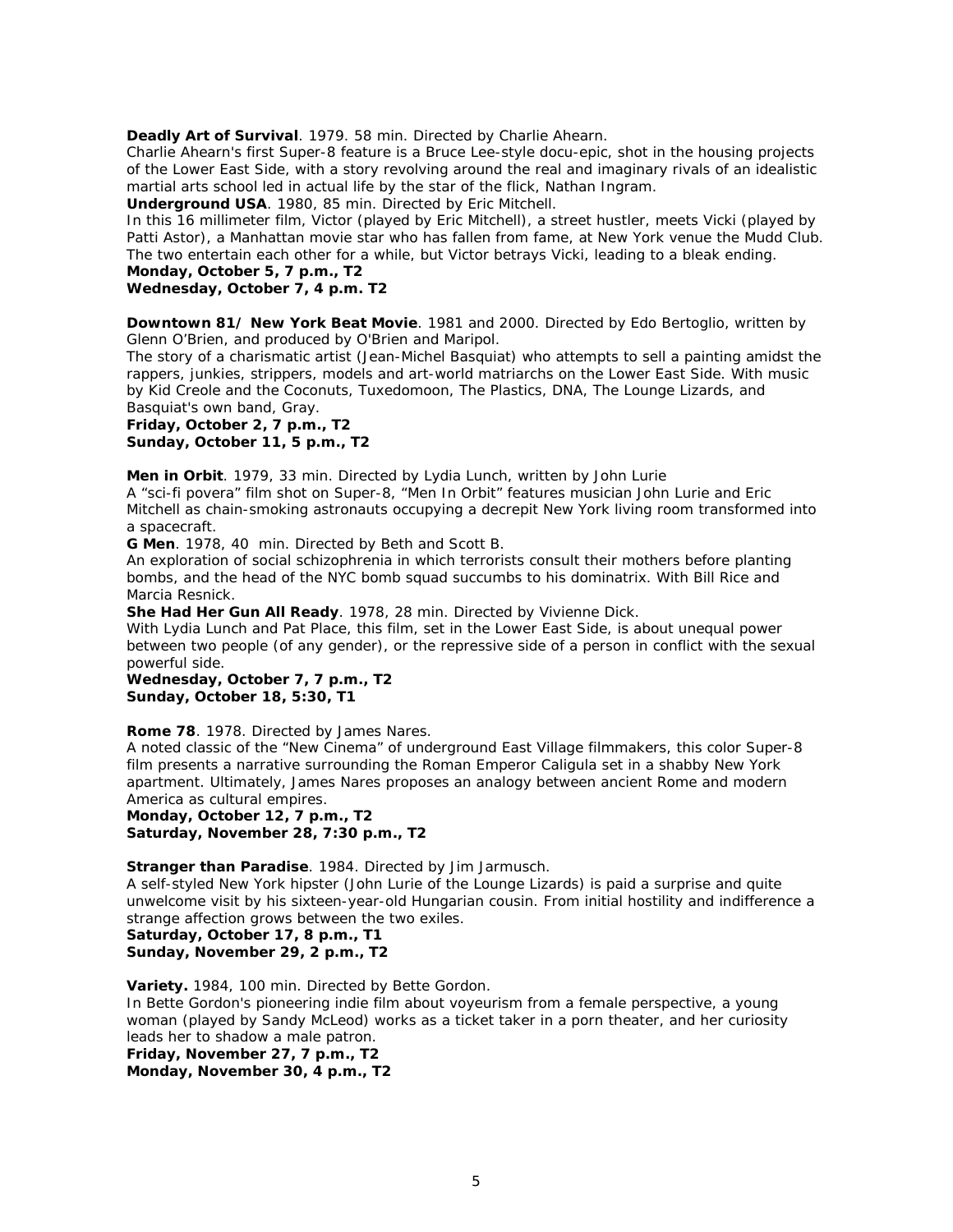**Deadly Art of Survival**. 1979. 58 min. Directed by Charlie Ahearn.

Charlie Ahearn's first Super-8 feature is a Bruce Lee-style docu-epic, shot in the housing projects of the Lower East Side, with a story revolving around the real and imaginary rivals of an idealistic martial arts school led in actual life by the star of the flick, Nathan Ingram.

**Underground USA**. 1980, 85 min. Directed by Eric Mitchell.

In this 16 millimeter film, Victor (played by Eric Mitchell), a street hustler, meets Vicki (played by Patti Astor), a Manhattan movie star who has fallen from fame, at New York venue the Mudd Club. The two entertain each other for a while, but Victor betrays Vicki, leading to a bleak ending.

# **Monday, October 5, 7 p.m., T2**

## **Wednesday, October 7, 4 p.m. T2**

**Downtown 81/ New York Beat Movie**. 1981 and 2000. Directed by Edo Bertoglio, written by Glenn O'Brien, and produced by O'Brien and Maripol.

The story of a charismatic artist (Jean-Michel Basquiat) who attempts to sell a painting amidst the rappers, junkies, strippers, models and art-world matriarchs on the Lower East Side. With music by Kid Creole and the Coconuts, Tuxedomoon, The Plastics, DNA, The Lounge Lizards, and Basquiat's own band, Gray.

**Friday, October 2, 7 p.m., T2 Sunday, October 11, 5 p.m., T2** 

**Men in Orbit**. 1979, 33 min. Directed by Lydia Lunch, written by John Lurie

A "sci-fi povera" film shot on Super-8, "Men In Orbit" features musician John Lurie and Eric Mitchell as chain-smoking astronauts occupying a decrepit New York living room transformed into a spacecraft.

**G Men**. 1978, 40 min. Directed by Beth and Scott B.

An exploration of social schizophrenia in which terrorists consult their mothers before planting bombs, and the head of the NYC bomb squad succumbs to his dominatrix. With Bill Rice and Marcia Resnick.

**She Had Her Gun All Ready**. 1978, 28 min. Directed by Vivienne Dick.

With Lydia Lunch and Pat Place, this film, set in the Lower East Side, is about unequal power between two people (of any gender), or the repressive side of a person in conflict with the sexual powerful side.

**Wednesday, October 7, 7 p.m., T2 Sunday, October 18, 5:30, T1** 

**Rome 78**. 1978. Directed by James Nares.

A noted classic of the "New Cinema" of underground East Village filmmakers, this color Super-8 film presents a narrative surrounding the Roman Emperor Caligula set in a shabby New York apartment. Ultimately, James Nares proposes an analogy between ancient Rome and modern America as cultural empires.

**Monday, October 12, 7 p.m., T2 Saturday, November 28, 7:30 p.m., T2** 

**Stranger than Paradise**. 1984. Directed by Jim Jarmusch.

A self-styled New York hipster (John Lurie of the Lounge Lizards) is paid a surprise and quite unwelcome visit by his sixteen-year-old Hungarian cousin. From initial hostility and indifference a strange affection grows between the two exiles.

**Saturday, October 17, 8 p.m., T1 Sunday, November 29, 2 p.m., T2** 

**Variety.** 1984, 100 min. Directed by Bette Gordon.

In Bette Gordon's pioneering indie film about voyeurism from a female perspective, a young woman (played by Sandy McLeod) works as a ticket taker in a porn theater, and her curiosity leads her to shadow a male patron.

**Friday, November 27, 7 p.m., T2** 

**Monday, November 30, 4 p.m., T2**